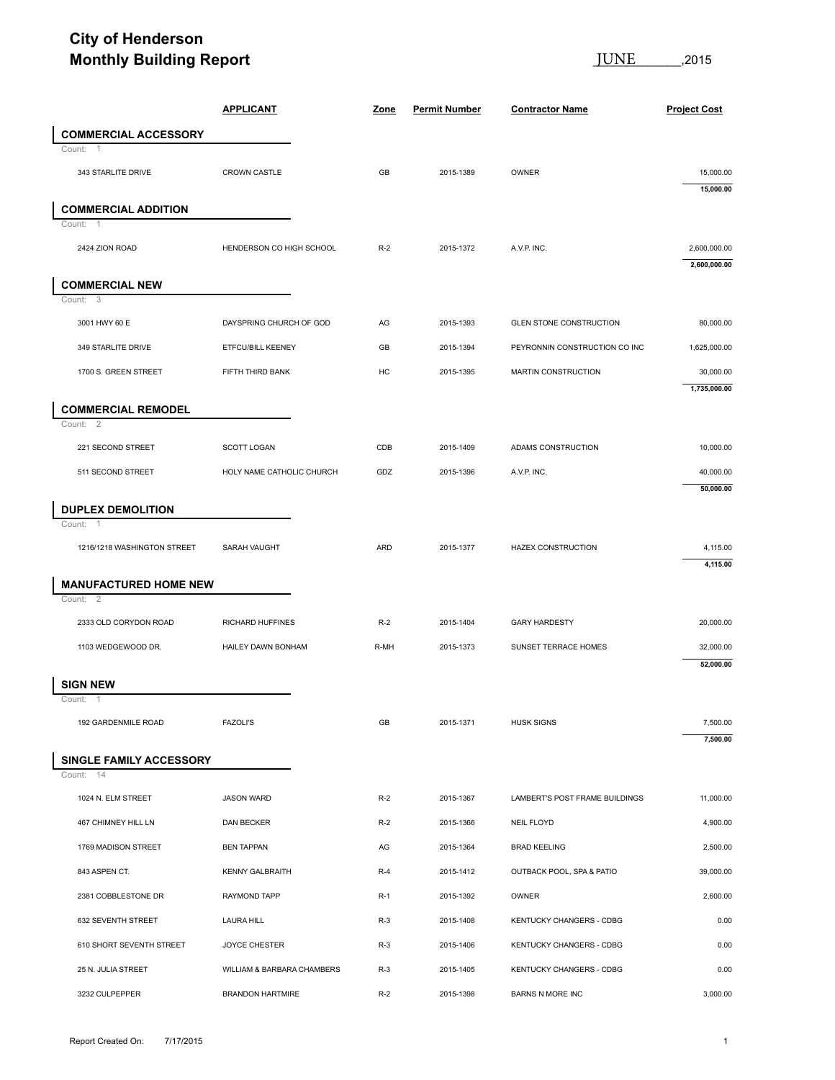## **City of Henderson Monthly Building Report**

**JUNE** 2015

|                          |                              |                            |       |                      | <u>JUNE</u><br>,2015           |                        |  |
|--------------------------|------------------------------|----------------------------|-------|----------------------|--------------------------------|------------------------|--|
|                          |                              | <b>APPLICANT</b>           | Zone  | <b>Permit Number</b> | <b>Contractor Name</b>         | <b>Project Cost</b>    |  |
|                          | <b>COMMERCIAL ACCESSORY</b>  |                            |       |                      |                                |                        |  |
| Count: 1                 |                              |                            |       |                      |                                |                        |  |
|                          | 343 STARLITE DRIVE           | <b>CROWN CASTLE</b>        | GB    | 2015-1389            | OWNER                          | 15,000.00<br>15,000.00 |  |
|                          | <b>COMMERCIAL ADDITION</b>   |                            |       |                      |                                |                        |  |
| Count:<br>$\overline{1}$ |                              |                            |       |                      |                                |                        |  |
| 2424 ZION ROAD           |                              | HENDERSON CO HIGH SCHOOL   | $R-2$ | 2015-1372            | A.V.P. INC.                    | 2,600,000.00           |  |
|                          | <b>COMMERCIAL NEW</b>        |                            |       |                      |                                | 2,600,000.00           |  |
| Count: 3                 |                              |                            |       |                      |                                |                        |  |
| 3001 HWY 60 E            |                              | DAYSPRING CHURCH OF GOD    | AG    | 2015-1393            | <b>GLEN STONE CONSTRUCTION</b> | 80,000.00              |  |
|                          | 349 STARLITE DRIVE           | ETFCU/BILL KEENEY          | GB    | 2015-1394            | PEYRONNIN CONSTRUCTION CO INC  | 1,625,000.00           |  |
|                          | 1700 S. GREEN STREET         | FIFTH THIRD BANK           | HC    | 2015-1395            | MARTIN CONSTRUCTION            | 30,000.00              |  |
|                          |                              |                            |       |                      |                                | 1,735,000.00           |  |
| Count: 2                 | <b>COMMERCIAL REMODEL</b>    |                            |       |                      |                                |                        |  |
|                          | 221 SECOND STREET            | SCOTT LOGAN                | CDB   | 2015-1409            | ADAMS CONSTRUCTION             | 10,000.00              |  |
|                          | 511 SECOND STREET            | HOLY NAME CATHOLIC CHURCH  | GDZ   | 2015-1396            | A.V.P. INC.                    | 40,000.00              |  |
|                          |                              |                            |       |                      |                                | 50,000.00              |  |
| Count:<br>$\overline{1}$ | <b>DUPLEX DEMOLITION</b>     |                            |       |                      |                                |                        |  |
|                          | 1216/1218 WASHINGTON STREET  | SARAH VAUGHT               | ARD   | 2015-1377            | <b>HAZEX CONSTRUCTION</b>      | 4,115.00               |  |
|                          |                              |                            |       |                      |                                | 4,115.00               |  |
| Count: 2                 | <b>MANUFACTURED HOME NEW</b> |                            |       |                      |                                |                        |  |
|                          | 2333 OLD CORYDON ROAD        | RICHARD HUFFINES           | $R-2$ | 2015-1404            | <b>GARY HARDESTY</b>           | 20,000.00              |  |
|                          | 1103 WEDGEWOOD DR.           | HAILEY DAWN BONHAM         | R-MH  | 2015-1373            | SUNSET TERRACE HOMES           | 32,000.00              |  |
|                          |                              |                            |       |                      |                                | 52,000.00              |  |
| <b>SIGN NEW</b>          |                              |                            |       |                      |                                |                        |  |
| Count:<br>$\overline{1}$ | 192 GARDENMILE ROAD          | <b>FAZOLI'S</b>            | GB    | 2015-1371            | <b>HUSK SIGNS</b>              | 7,500.00               |  |
|                          |                              |                            |       |                      |                                | 7,500.00               |  |
|                          | SINGLE FAMILY ACCESSORY      |                            |       |                      |                                |                        |  |
| Count: 14                |                              |                            |       |                      |                                |                        |  |
|                          | 1024 N. ELM STREET           | <b>JASON WARD</b>          | $R-2$ | 2015-1367            | LAMBERT'S POST FRAME BUILDINGS | 11,000.00              |  |
|                          | 467 CHIMNEY HILL LN          | DAN BECKER                 | $R-2$ | 2015-1366            | NEIL FLOYD                     | 4,900.00               |  |
|                          | 1769 MADISON STREET          | <b>BEN TAPPAN</b>          | AG    | 2015-1364            | <b>BRAD KEELING</b>            | 2,500.00               |  |
| 843 ASPEN CT.            |                              | <b>KENNY GALBRAITH</b>     | $R-4$ | 2015-1412            | OUTBACK POOL, SPA & PATIO      | 39,000.00              |  |
|                          | 2381 COBBLESTONE DR          | RAYMOND TAPP               | $R-1$ | 2015-1392            | <b>OWNER</b>                   | 2,600.00               |  |
|                          | 632 SEVENTH STREET           | <b>LAURA HILL</b>          | $R-3$ | 2015-1408            | KENTUCKY CHANGERS - CDBG       | 0.00                   |  |
|                          | 610 SHORT SEVENTH STREET     | <b>JOYCE CHESTER</b>       | $R-3$ | 2015-1406            | KENTUCKY CHANGERS - CDBG       | 0.00                   |  |
|                          | 25 N. JULIA STREET           | WILLIAM & BARBARA CHAMBERS | $R-3$ | 2015-1405            | KENTUCKY CHANGERS - CDBG       | 0.00                   |  |
|                          |                              |                            |       |                      |                                |                        |  |